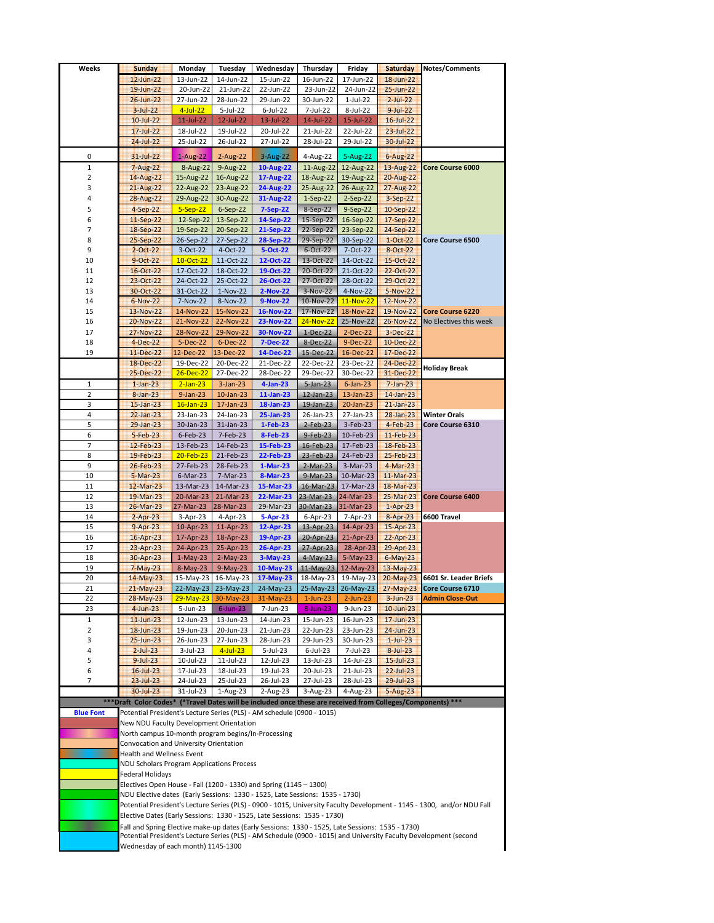| Weeks            | <b>Sunday</b>                                                                                                           | Monday                                                                                       | Tuesday                  | Wednesday              | Thursday                         | Friday                 | <b>Saturday</b>           | Notes/Comments                                       |
|------------------|-------------------------------------------------------------------------------------------------------------------------|----------------------------------------------------------------------------------------------|--------------------------|------------------------|----------------------------------|------------------------|---------------------------|------------------------------------------------------|
|                  | $12$ -Jun-22                                                                                                            | 13-Jun-22                                                                                    | 14-Jun-22                | 15-Jun-22              | 16-Jun-22                        | 17-Jun-22              | $18$ -Jun-22              |                                                      |
|                  | $19$ -Jun-22                                                                                                            | 20-Jun-22                                                                                    | 21-Jun-22                | 22-Jun-22              | 23-Jun-22                        | 24-Jun-22              | 25-Jun-22                 |                                                      |
|                  | $26$ -Jun-22                                                                                                            | 27-Jun-22                                                                                    | 28-Jun-22                | 29-Jun-22              | 30-Jun-22                        | $1-Jul-22$             | $2$ -Jul-22               |                                                      |
|                  | $3-Jul-22$                                                                                                              | $4$ -Jul-22                                                                                  | 5-Jul-22                 | $6$ -Jul-22            | 7-Jul-22                         | 8-Jul-22               | $9 - Jul - 22$            |                                                      |
|                  | $10$ -Jul-22                                                                                                            | $11$ -Jul-22                                                                                 | 12-Jul-22                | 13-Jul-22              | 14-Jul-22                        | 15-Jul-22              | $16$ -Jul- $22$           |                                                      |
|                  | $17$ -Jul-22                                                                                                            | 18-Jul-22                                                                                    | 19-Jul-22                | 20-Jul-22              | 21-Jul-22                        | 22-Jul-22              | $23$ -Jul-22              |                                                      |
|                  | 24-Jul-22                                                                                                               | 25-Jul-22                                                                                    | 26-Jul-22                | 27-Jul-22              | 28-Jul-22                        | 29-Jul-22              | 30-Jul-22                 |                                                      |
| 0                | $31 - Jul - 22$                                                                                                         | $1-Aug-22$                                                                                   | 2-Aug-22                 | $3 - Aug-22$           | 4-Aug-22                         | 5-Aug-22               | 6-Aug-22                  |                                                      |
| 1                | 7-Aug-22                                                                                                                |                                                                                              | 8-Aug-22 9-Aug-22        | 10-Aug-22              | $11$ -Aug-22                     | 12-Aug-22              |                           | 13-Aug-22 Core Course 6000                           |
| 2                | 14-Aug-22                                                                                                               |                                                                                              | 15-Aug-22 16-Aug-22      | 17-Aug-22              | 18-Aug-22                        | 19-Aug-22              | 20-Aug-22                 |                                                      |
| 3                | 21-Aug-22                                                                                                               | $22$ -Aug-22                                                                                 | 23-Aug-22                | 24-Aug-22              | 25-Aug-22                        | 26-Aug-22              | 27-Aug-22                 |                                                      |
| 4                | 28-Aug-22                                                                                                               |                                                                                              | 29-Aug-22 30-Aug-22      | 31-Aug-22              | 1-Sep-22                         | $2-Sep-22$             | $3-Sep-22$                |                                                      |
| 5                | 4-Sep-22                                                                                                                | $5-Sep-22$                                                                                   | 6-Sep-22                 | 7-Sep-22               | 8-Sep-22                         | 9-Sep-22               | $10-Sep-22$               |                                                      |
| 6                | $11-Sep-22$                                                                                                             | 12-Sep-22                                                                                    | 13-Sep-22                | 14-Sep-22              | 15-Sep-22                        | 16-Sep-22              | 17-Sep-22                 |                                                      |
| 7                | 18-Sep-22                                                                                                               | 19-Sep-22                                                                                    | 20-Sep-22                | 21-Sep-22              | 22-Sep-22                        | 23-Sep-22              | 24-Sep-22                 |                                                      |
| 8                | 25-Sep-22                                                                                                               | 26-Sep-22                                                                                    | 27-Sep-22                | 28-Sep-22              | 29-Sep-22                        | 30-Sep-22              | $1-Oct-22$                | Core Course 6500                                     |
| 9                | $2-Oct-22$                                                                                                              | $3-Oct-22$                                                                                   | 4-Oct-22                 | 5-Oct-22               | 6-Oct-22                         | 7-Oct-22               | 8-Oct-22                  |                                                      |
| 10               | 9-Oct-22                                                                                                                | 10-Oct-22                                                                                    | 11-Oct-22                | 12-Oct-22              | 13-Oct-22                        | 14-Oct-22              | 15-Oct-22                 |                                                      |
| 11               | 16-Oct-22                                                                                                               | 17-Oct-22                                                                                    | 18-Oct-22                | 19-Oct-22              | 20-Oct-22                        | 21-Oct-22              | 22-Oct-22                 |                                                      |
| 12               | 23-Oct-22                                                                                                               | 24-Oct-22                                                                                    | 25-Oct-22                | 26-Oct-22              | 27-Oct-22                        | 28-Oct-22              | 29-Oct-22                 |                                                      |
| 13               | 30-Oct-22<br>6-Nov-22                                                                                                   | 31-Oct-22                                                                                    | $1-Nov-22$               | $2-Nov-22$             | 3-Nov-22                         | 4-Nov-22               | 5-Nov-22                  |                                                      |
| 14<br>15         | 13-Nov-22                                                                                                               | 7-Nov-22<br>14-Nov-22                                                                        | 8-Nov-22<br>15-Nov-22    | 9-Nov-22<br>16-Nov-22  | 10-Nov-22<br>17-Nov-22           | 11-Nov-22<br>18-Nov-22 | 12-Nov-22                 | 19-Nov-22 Core Course 6220                           |
| 16               | 20-Nov-22                                                                                                               | 21-Nov-22                                                                                    | 22-Nov-22                | <b>23-Nov-22</b>       | 24-Nov-22                        | 25-Nov-22              | 26-Nov-22                 | No Electives this week                               |
| 17               | 27-Nov-22                                                                                                               | 28-Nov-22                                                                                    | 29-Nov-22                | 30-Nov-22              | $1-Dec-22$                       | $2-Dec-22$             | 3-Dec-22                  |                                                      |
| 18               | $4-Dec-22$                                                                                                              | 5-Dec-22                                                                                     | 6-Dec-22                 | <b>7-Dec-22</b>        | 8-Dec-22                         | 9-Dec-22               | $10 - Dec-22$             |                                                      |
| 19               | $11-Dec-22$                                                                                                             | 12-Dec-22                                                                                    | 13-Dec-22                | 14-Dec-22              | 15-Dec-22                        | 16-Dec-22              | 17-Dec-22                 |                                                      |
|                  | 18-Dec-22                                                                                                               | 19-Dec-22                                                                                    | 20-Dec-22                | 21-Dec-22              | 22-Dec-22                        | 23-Dec-22              | 24-Dec-22                 |                                                      |
|                  | 25-Dec-22                                                                                                               | $26$ -Dec-22                                                                                 | 27-Dec-22                | 28-Dec-22              | 29-Dec-22                        | 30-Dec-22              | 31-Dec-22                 | Holiday Break                                        |
| 1                | $1$ -Jan-23                                                                                                             | $2-Jan-23$                                                                                   | $3-Jan-23$               | $4$ -Jan-23            | $5$ -Jan-23                      | $6$ -Jan-23            | $7-Jan-23$                |                                                      |
| 2                | $8 - Jan - 23$                                                                                                          | $9$ -Jan-23                                                                                  | $10$ -Jan-23             | 11-Jan-23              | $12$ -Jan-23                     | $13$ -Jan-23           | $14$ -Jan-23              |                                                      |
| 3                | $15$ -Jan-23                                                                                                            | $16$ -Jan-23                                                                                 | $17$ -Jan-23             | 18-Jan-23              | $19$ -Jan-23                     | 20-Jan-23              | $21$ -Jan-23              |                                                      |
| 4                | $22$ -Jan-23                                                                                                            | 23-Jan-23                                                                                    | 24-Jan-23                | 25-Jan-23              | 26-Jan-23                        | 27-Jan-23              | $28$ -Jan-23              | <b>Winter Orals</b>                                  |
| 5                | $29$ -Jan-23                                                                                                            | $30$ -Jan-23                                                                                 | $31$ -Jan-23             | $1-Feb-23$             | $2$ -Feb-23                      | $3-Feb-23$             | 4-Feb-23                  | Core Course 6310                                     |
| 6                | $5-Feb-23$                                                                                                              | $6$ -Feb-23                                                                                  | 7-Feb-23                 | 8-Feb-23               | 9-Feb-23                         | 10-Feb-23              | 11-Feb-23                 |                                                      |
| 7                | 12-Feb-23                                                                                                               | 13-Feb-23                                                                                    | 14-Feb-23                | 15-Feb-23              | $16$ -Feb-23                     | 17-Feb-23              | 18-Feb-23                 |                                                      |
| 8                | 19-Feb-23                                                                                                               | $20$ -Feb-23                                                                                 | 21-Feb-23                | 22-Feb-23              | $23$ -Feb-23                     | 24-Feb-23              | 25-Feb-23                 |                                                      |
| 9                | 26-Feb-23                                                                                                               | 27-Feb-23                                                                                    | 28-Feb-23                | $1-Mar-23$             | $2-Mar-23$                       | $3-Mar-23$             | 4-Mar-23                  |                                                      |
| 10               | $5-Mar-23$                                                                                                              | $6$ -Mar-23                                                                                  | 7-Mar-23                 | 8-Mar-23               | $9-Mar-23$                       | 10-Mar-23              | 11-Mar-23                 |                                                      |
| 11<br>12         | $12$ -Mar-23<br>19-Mar-23                                                                                               | 13-Mar-23<br>20-Mar-23                                                                       | 14-Mar-23<br>21-Mar-23   | 15-Mar-23<br>22-Mar-23 | 16-Mar-23                        | 17-Mar-23<br>24-Mar-23 | 18-Mar-23<br>25-Mar-23    | <b>Core Course 6400</b>                              |
| 13               | 26-Mar-23                                                                                                               | 27-Mar-23                                                                                    | 28-Mar-23                | 29-Mar-23              | 23-Mar-23<br>30-Mar-23 31-Mar-23 |                        | $1-Apr-23$                |                                                      |
| 14               | $2 - Apr - 23$                                                                                                          | 3-Apr-23                                                                                     | 4-Apr-23                 | 5-Apr-23               | 6-Apr-23                         | 7-Apr-23               | 8-Apr-23                  | 6600 Travel                                          |
| 15               | $9 - Apr - 23$                                                                                                          | 10-Apr-23                                                                                    | 11-Apr-23                | 12-Apr-23              | 13-Apr-23                        | 14-Apr-23              | 15-Apr-23                 |                                                      |
| 16               | $16$ -Apr-23                                                                                                            | 17-Apr-23                                                                                    | 18-Apr-23                | 19-Apr-23              | 20-Apr-23                        | 21-Apr-23              | 22-Apr-23                 |                                                      |
| 17               | 23-Apr-23                                                                                                               | 24-Apr-23                                                                                    | 25-Apr-23                | 26-Apr-23              | 27-Apr-23                        | 28-Apr-23              | 29-Apr-23                 |                                                      |
| 18               | 30-Apr-23                                                                                                               | 1-May-23                                                                                     | $2-May-23$               | $3-May-23$             | $4$ -May-23                      | 5-May-23               | $6-May-23$                |                                                      |
| 19               | $7-May-23$                                                                                                              | 8-May-23                                                                                     | $9-May-23$               | $10$ -May-23           |                                  | 11-May-23 12-May-23    | 13-May-23                 |                                                      |
| 20               | 14-May-23                                                                                                               |                                                                                              | 15-May-23 16-May-23      | 17-May-23              |                                  |                        |                           | 18-May-23 19-May-23 20-May-23 6601 Sr. Leader Briefs |
| 21               | $21-May-23$                                                                                                             |                                                                                              | 22-May-23 23-May-23      | 24-May-23              |                                  | 25-May-23   26-May-23  | 27-May-23                 | Core Course 6710                                     |
| 22               | 28-May-23                                                                                                               | $29-May-23$                                                                                  | 30-May-23                | 31-May-23              | $1$ -Jun-23                      | $2$ -Jun-23            | $3-Jun-23$                | <b>Admin Close-Out</b>                               |
| 23               | $4$ -Jun-23                                                                                                             | 5-Jun-23                                                                                     | $6$ -Jun-23              | 7-Jun-23               | $8$ -Jun-23                      | 9-Jun-23               | $10$ -Jun-23              |                                                      |
| 1                | $11$ -Jun-23                                                                                                            | 12-Jun-23                                                                                    | 13-Jun-23                | 14-Jun-23              | 15-Jun-23                        | 16-Jun-23              | $17$ -Jun-23              |                                                      |
| 2                | $18$ -Jun-23                                                                                                            | 19-Jun-23                                                                                    | 20-Jun-23                | 21-Jun-23              | 22-Jun-23                        | 23-Jun-23              | 24-Jun-23                 |                                                      |
| 3<br>4           | $25$ -Jun-23<br>$2$ -Jul-23                                                                                             | 26-Jun-23<br>3-Jul-23                                                                        | 27-Jun-23<br>$4$ -Jul-23 | 28-Jun-23<br>5-Jul-23  | 29-Jun-23<br>$6$ -Jul-23         | 30-Jun-23<br>7-Jul-23  | $1-Jul-23$<br>$8$ -Jul-23 |                                                      |
| 5                | $9$ -Jul-23                                                                                                             | 10-Jul-23                                                                                    | 11-Jul-23                | 12-Jul-23              | 13-Jul-23                        | 14-Jul-23              | $15 -$ Jul $-23$          |                                                      |
| 6                | $16$ -Jul-23                                                                                                            | 17-Jul-23                                                                                    | 18-Jul-23                | 19-Jul-23              | 20-Jul-23                        | 21-Jul-23              | $22$ -Jul-23              |                                                      |
| 7                | $23$ -Jul-23                                                                                                            | 24-Jul-23                                                                                    | 25-Jul-23                | 26-Jul-23              | 27-Jul-23                        | 28-Jul-23              | 29-Jul-23                 |                                                      |
|                  | 30-Jul-23                                                                                                               | 31-Jul-23                                                                                    | $1-Aug-23$               | 2-Aug-23               | 3-Aug-23                         | 4-Aug-23               | 5-Aug-23                  |                                                      |
|                  | *** Draft Color Codes* (*Travel Dates will be included once these are received from Colleges/Components) ***            |                                                                                              |                          |                        |                                  |                        |                           |                                                      |
| <b>Blue Font</b> | Potential President's Lecture Series (PLS) - AM schedule (0900 - 1015)                                                  |                                                                                              |                          |                        |                                  |                        |                           |                                                      |
|                  | New NDU Faculty Development Orientation                                                                                 |                                                                                              |                          |                        |                                  |                        |                           |                                                      |
|                  |                                                                                                                         |                                                                                              |                          |                        |                                  |                        |                           |                                                      |
|                  |                                                                                                                         | North campus 10-month program begins/In-Processing<br>Convocation and University Orientation |                          |                        |                                  |                        |                           |                                                      |
|                  | Health and Wellness Event                                                                                               |                                                                                              |                          |                        |                                  |                        |                           |                                                      |
|                  | NDU Scholars Program Applications Process                                                                               |                                                                                              |                          |                        |                                  |                        |                           |                                                      |
|                  | Federal Holidays                                                                                                        |                                                                                              |                          |                        |                                  |                        |                           |                                                      |
|                  | Electives Open House - Fall (1200 - 1330) and Spring (1145 - 1300)                                                      |                                                                                              |                          |                        |                                  |                        |                           |                                                      |
|                  | NDU Elective dates (Early Sessions: 1330 - 1525, Late Sessions: 1535 - 1730)                                            |                                                                                              |                          |                        |                                  |                        |                           |                                                      |
|                  | Potential President's Lecture Series (PLS) - 0900 - 1015, University Faculty Development - 1145 - 1300, and/or NDU Fall |                                                                                              |                          |                        |                                  |                        |                           |                                                      |
|                  | Elective Dates (Early Sessions: 1330 - 1525, Late Sessions: 1535 - 1730)                                                |                                                                                              |                          |                        |                                  |                        |                           |                                                      |
|                  | Fall and Spring Elective make-up dates (Early Sessions: 1330 - 1525, Late Sessions: 1535 - 1730)                        |                                                                                              |                          |                        |                                  |                        |                           |                                                      |
|                  | Potential President's Lecture Series (PLS) - AM Schedule (0900 - 1015) and University Faculty Development (second       |                                                                                              |                          |                        |                                  |                        |                           |                                                      |
|                  | Wednesday of each month) 1145-1300                                                                                      |                                                                                              |                          |                        |                                  |                        |                           |                                                      |